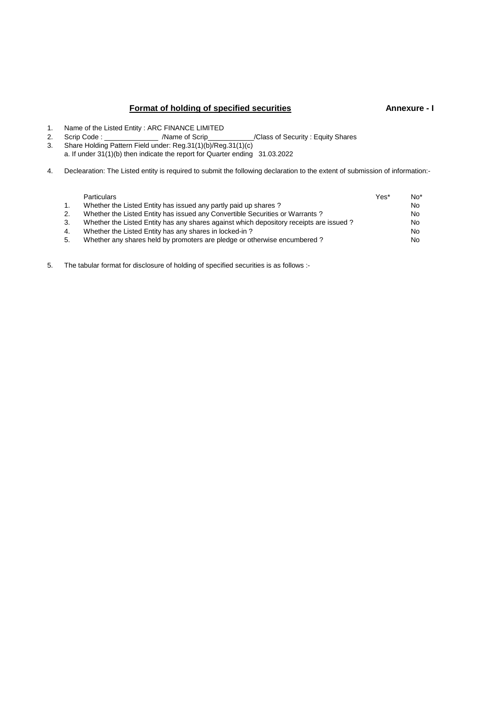## **Format of holding of specified securities Annexure - I**

- 1. Name of the Listed Entity : ARC FINANCE LIMITED<br>2. Scrip Code : //Name of Scrip
- 2. Scrip Code : \_\_\_\_\_\_\_\_\_\_\_\_\_\_ /Name of Scrip\_\_\_\_\_\_\_\_\_\_\_\_/Class of Security : Equity Shares
- 3. Share Holding Pattern Field under: Reg.31(1)(b)/Reg.31(1)(c)
- a. If under 31(1)(b) then indicate the report for Quarter ending 31.03.2022
- 4. Declearation: The Listed entity is required to submit the following declaration to the extent of submission of information:-

|    | <b>Particulars</b>                                                                     | Yes* | No <sup>*</sup> |
|----|----------------------------------------------------------------------------------------|------|-----------------|
| 1. | Whether the Listed Entity has issued any partly paid up shares?                        |      | No.             |
| 2. | Whether the Listed Entity has issued any Convertible Securities or Warrants?           |      | No.             |
| 3. | Whether the Listed Entity has any shares against which depository receipts are issued? |      | No.             |
| 4. | Whether the Listed Entity has any shares in locked-in?                                 |      | No.             |
| 5. | Whether any shares held by promoters are pledge or otherwise encumbered?               |      | No.             |
|    |                                                                                        |      |                 |

5. The tabular format for disclosure of holding of specified securities is as follows :-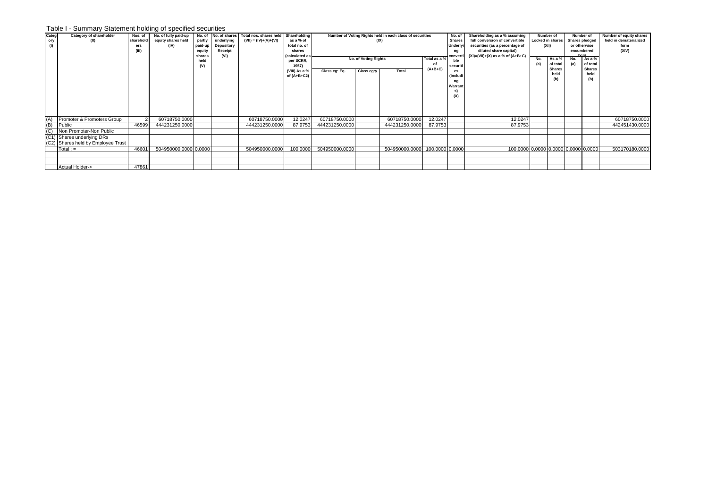## Table I - Summary Statement holding of specified securities

| Categ              | Category of shareholder            | Nos. of   | No. of fully paid-up  |                |            | No. of No. of shares Total nos. shares held Shareholding |                                         |                |                      | Number of Voting Rights held in each class of securities |                 | No. of         | Shareholding as a % assuming             | Number of |                         |                       | Number of     | Number of equity shares |
|--------------------|------------------------------------|-----------|-----------------------|----------------|------------|----------------------------------------------------------|-----------------------------------------|----------------|----------------------|----------------------------------------------------------|-----------------|----------------|------------------------------------------|-----------|-------------------------|-----------------------|---------------|-------------------------|
| ory                | (II)                               | sharehold | equity shares held    | partly         | underlying | $(VII) = (IV)+(V)+(VII)$                                 | as a % of                               |                |                      | (IX)                                                     |                 | <b>Shares</b>  | full conversion of convertible           |           | <b>Locked in shares</b> | <b>Shares pledged</b> |               | held in dematerialized  |
| (1)                |                                    | ers       | (IV)                  | paid-up        | Depository |                                                          | total no. of                            |                |                      |                                                          |                 | Underly        | securities (as a percentage of           |           | (XII)                   | or otherwise          |               | form                    |
|                    |                                    | (III)     |                       | equity         | Receipt    |                                                          | shares                                  |                |                      |                                                          |                 | ng             | diluted share capital)                   |           |                         | encumbered<br>T       |               | (XIV)                   |
|                    |                                    |           |                       | shares<br>held | (VI)       |                                                          | <i><b>(calculated)</b></i><br>per SCRR, |                | No. of Voting Rights |                                                          | Total as a %    | convert<br>ble | $(XI) = (VII) + (X)$ as a % of $(A+B+C)$ | No.       | As a $%$                | No.                   | As a %        |                         |
|                    |                                    |           |                       | (V)            |            |                                                          | 1957)                                   |                |                      |                                                          |                 | securiti       |                                          | (a)       | of total                | (a)                   | of total      |                         |
|                    |                                    |           |                       |                |            |                                                          | (VIII) As a %                           | Class eg: Eq.  | Class eg:y           | Total                                                    | $(A+B+C)$       | es             |                                          |           | <b>Shares</b>           |                       | <b>Shares</b> |                         |
|                    |                                    |           |                       |                |            |                                                          | of $(A+B+C2)$                           |                |                      |                                                          |                 | (Includ        |                                          |           | held                    |                       | held<br>(b)   |                         |
|                    |                                    |           |                       |                |            |                                                          |                                         |                |                      |                                                          |                 | ng             |                                          |           |                         |                       |               |                         |
|                    |                                    |           |                       |                |            |                                                          |                                         |                |                      |                                                          |                 | Warrant        |                                          |           |                         |                       |               |                         |
|                    |                                    |           |                       |                |            |                                                          |                                         |                |                      |                                                          |                 |                |                                          |           |                         |                       |               |                         |
|                    |                                    |           |                       |                |            |                                                          |                                         |                |                      |                                                          |                 | (X)            |                                          |           |                         |                       |               |                         |
|                    |                                    |           |                       |                |            |                                                          |                                         |                |                      |                                                          |                 |                |                                          |           |                         |                       |               |                         |
|                    |                                    |           |                       |                |            |                                                          |                                         |                |                      |                                                          |                 |                |                                          |           |                         |                       |               |                         |
|                    |                                    |           |                       |                |            |                                                          |                                         |                |                      |                                                          |                 |                |                                          |           |                         |                       |               |                         |
| (A)                | Promoter & Promoters Group         |           | 60718750.0000         |                |            | 60718750.0000                                            | 12.0247                                 | 60718750.0000  |                      | 60718750.0000                                            | 12.0247         |                | 12.0247                                  |           |                         |                       |               | 60718750.0000           |
| $\overline{1}$ (C) | Public                             | 46599     | 444231250.0000        |                |            | 444231250.0000                                           | 87.9753                                 | 444231250.0000 |                      | 444231250.0000                                           | 87.9753         |                | 87.9753                                  |           |                         |                       |               | 442451430.0000          |
|                    | Non Promoter-Non Public            |           |                       |                |            |                                                          |                                         |                |                      |                                                          |                 |                |                                          |           |                         |                       |               |                         |
|                    | (C1) Shares underlying DRs         |           |                       |                |            |                                                          |                                         |                |                      |                                                          |                 |                |                                          |           |                         |                       |               |                         |
|                    | (C2) Shares held by Employee Trust |           |                       |                |            |                                                          |                                         |                |                      |                                                          |                 |                |                                          |           |                         |                       |               |                         |
|                    | $Total :=$                         | 46601     | 504950000.0000 0.0000 |                |            | 504950000.0000                                           | 100.0000                                | 504950000.0000 |                      | 504950000.0000                                           | 100.0000 0.0000 |                | 100.0000 0.0000 0.0000 0.0000 0.0000     |           |                         |                       |               | 503170180.0000          |
|                    |                                    |           |                       |                |            |                                                          |                                         |                |                      |                                                          |                 |                |                                          |           |                         |                       |               |                         |
|                    |                                    |           |                       |                |            |                                                          |                                         |                |                      |                                                          |                 |                |                                          |           |                         |                       |               |                         |
|                    | Actual Holder->                    | 47861     |                       |                |            |                                                          |                                         |                |                      |                                                          |                 |                |                                          |           |                         |                       |               |                         |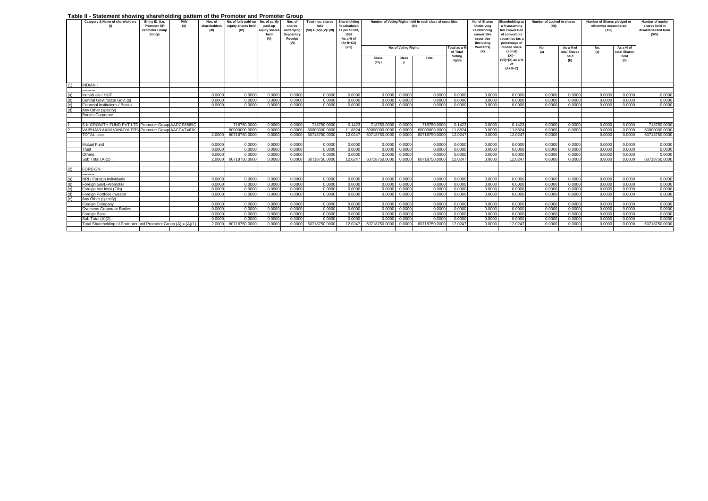## **Table II - Statement showing shareholding pattern of the Promoter and Promoter Group**

|                | rabic ii - olalchicht showing sharcholaing pattern or the Fromoter and Fromoter Group |                                 |             |                         |                                                          |               |                   |                           |                              |               |                      |                                                                  |            |                             |                                 |                                     |              |                                                     |              |                                    |
|----------------|---------------------------------------------------------------------------------------|---------------------------------|-------------|-------------------------|----------------------------------------------------------|---------------|-------------------|---------------------------|------------------------------|---------------|----------------------|------------------------------------------------------------------|------------|-----------------------------|---------------------------------|-------------------------------------|--------------|-----------------------------------------------------|--------------|------------------------------------|
|                | Category & Name of shareholders                                                       | Entity ID. (i.e.<br>Promoter OR | PAN<br>(II) | Nos. of<br>shareholders | No. of fully paid-up No. of partly<br>equity shares held | paid-up       | Nos. of<br>shares | Total nos. shares<br>held | Shareholding<br>% calculated |               |                      | Number of Voting Rights held in each class of securities<br>(IX) |            | No. of Shares<br>Underlying | Shareholding as<br>a % assuming | Number of Locked in shares<br>(XII) |              | Number of Shares pledged or<br>otherwise encumbered |              | Number of equity<br>shares held in |
|                |                                                                                       | <b>Promoter Group</b>           |             | <b>CHID</b>             | (IV)                                                     | equity share: | underlying        | $(VII) = (IV)+(V)+(VI)$   | as per SCRR                  |               |                      |                                                                  |            | Outstanding                 | full conversion                 |                                     |              | (Xli)                                               |              | dematerialized form                |
|                |                                                                                       | Entity)                         |             |                         |                                                          |               | <b>Depository</b> |                           | 1957                         |               |                      |                                                                  |            | convertible                 | of convertible                  |                                     |              |                                                     |              | (XIV)                              |
|                |                                                                                       |                                 |             |                         |                                                          | (V)           | Receipt           |                           | As a % of                    |               |                      |                                                                  |            | securities                  | securities (as a                |                                     |              |                                                     |              |                                    |
|                |                                                                                       |                                 |             |                         |                                                          |               | (VI)              |                           | $(A+B+C2)$                   |               |                      |                                                                  |            | (Including                  | percentage of                   |                                     |              |                                                     |              |                                    |
|                |                                                                                       |                                 |             |                         |                                                          |               |                   |                           | (VIII)                       |               | No. of Voting Rights |                                                                  | Total as a | Warrants)                   | diluted share                   | No.                                 | As a % of    | No.                                                 | As a % of    |                                    |
|                |                                                                                       |                                 |             |                         |                                                          |               |                   |                           |                              |               |                      |                                                                  | of Total   | (X)                         | capital)                        | (a)                                 | total Shares | (a)                                                 | total Shares |                                    |
|                |                                                                                       |                                 |             |                         |                                                          |               |                   |                           |                              | Class         | Class                | Total                                                            | Voting     |                             | $(XI) =$                        |                                     | held         |                                                     | held         |                                    |
|                |                                                                                       |                                 |             |                         |                                                          |               |                   |                           |                              | (Eq.)         |                      |                                                                  | rights     |                             | (VII)+(X) as a %                |                                     | (b)          |                                                     | (b)          |                                    |
|                |                                                                                       |                                 |             |                         |                                                          |               |                   |                           |                              |               |                      |                                                                  |            |                             |                                 |                                     |              |                                                     |              |                                    |
|                |                                                                                       |                                 |             |                         |                                                          |               |                   |                           |                              |               |                      |                                                                  |            |                             | $(A+B+C)$                       |                                     |              |                                                     |              |                                    |
|                |                                                                                       |                                 |             |                         |                                                          |               |                   |                           |                              |               |                      |                                                                  |            |                             |                                 |                                     |              |                                                     |              |                                    |
|                |                                                                                       |                                 |             |                         |                                                          |               |                   |                           |                              |               |                      |                                                                  |            |                             |                                 |                                     |              |                                                     |              |                                    |
| (1)            | <b>INDIAN:</b>                                                                        |                                 |             |                         |                                                          |               |                   |                           |                              |               |                      |                                                                  |            |                             |                                 |                                     |              |                                                     |              |                                    |
|                |                                                                                       |                                 |             |                         |                                                          |               |                   |                           |                              |               |                      |                                                                  |            |                             |                                 |                                     |              |                                                     |              |                                    |
| (a)            | Individuals / HUF                                                                     |                                 |             | 0.0000                  | 0.0000                                                   | 0.0000        | 0.0000            | 0.0000                    | 0.0000                       | 0.0000        | 0.0000               | 0.0000                                                           | 0.0000     | 0.0000                      | 0.0000                          | 0.0000                              | 0.0000       | 0.0000                                              | 0.0000       | 0.0000                             |
| (b)            | Central Govt./State Govt.(s)                                                          |                                 |             | 0.0000                  | 0.0000                                                   | 0.0000        | 0.0000            | 0.0000                    | 0.0000                       | 0.0000        | 0.0000               | 0.0000                                                           | 0.0000     | 0.0000                      | 0.0000                          | 0.0000                              | 0.0000       | 0.0000                                              | 0.0000       | 0.0000                             |
| $\overline{c}$ | Financial Institutions / Banks                                                        |                                 |             | 0.0000                  | 0.0000                                                   | 0.0000        | 0.0000            | 0.0000                    | 0.0000                       | 0.0000        | 0.0000               | 0.0000                                                           | 0.0000     | 0.0000                      | 0.0000                          | 0.0000                              | 0.0000       | 0.0000                                              | 0.0000       | 0.0000                             |
| (d)            | Any Other (specify)                                                                   |                                 |             |                         |                                                          |               |                   |                           |                              |               |                      |                                                                  |            |                             |                                 |                                     |              |                                                     |              |                                    |
|                | <b>Bodies Corporate</b>                                                               |                                 |             |                         |                                                          |               |                   |                           |                              |               |                      |                                                                  |            |                             |                                 |                                     |              |                                                     |              |                                    |
|                |                                                                                       |                                 |             |                         |                                                          |               |                   |                           |                              |               |                      |                                                                  |            |                             |                                 |                                     |              |                                                     |              |                                    |
|                | S K GROWTH FUND PVT LTD Promoter Group AADCS6569C                                     |                                 |             |                         | 718750,0000                                              | 0.0000        | 0.0000            | 718750,0000               | 0.1423                       | 718750,0000   | 0.0000               | 718750,0000                                                      | 0.1423     | 0.0000                      | 0.1423                          | 0.0000                              | 0.0000       | 0.0000                                              | 0.0000       | 718750.0000                        |
|                | VAIBHAVLAXMI VANIJYA PRIV Promoter Group AACCV7461K                                   |                                 |             |                         | 60000000.0000                                            | 0.0000        | 0.0000            | 60000000.0000             | 11.8824                      | 60000000.0000 | 0.0000               | 60000000.0000                                                    | 11.8824    | 0.0000                      | 11,8824                         | 0.0000                              | 0.0000       | 0.0000                                              | 0.0000       | 60000000.0000                      |
|                | TOTAL :===                                                                            |                                 |             | 2.0000                  | 60718750.0000                                            | 0.0000        | 0.0000            | 60718750,0000             | 12.0247                      | 60718750,0000 | 0.0000               | 60718750.0000                                                    | 12.0247    | 0.0000                      | 12.0247                         | 0.0000                              |              | 0.0000                                              | 0.0000       | 60718750.0000                      |
|                |                                                                                       |                                 |             |                         |                                                          |               |                   |                           |                              |               |                      |                                                                  |            |                             |                                 |                                     |              |                                                     |              |                                    |
|                | Mutual Fund                                                                           |                                 |             | 0.0000                  | 0.0000                                                   | 0.0000        | 0.0000            | 0.0000                    | 0.0000                       | 0.0000        | 0.0000               | 0.0000                                                           | 0.0000     | 0.0000                      | 0.0000                          | 0.000                               | 0.0000       | 0.0000                                              | 0.0000       | 0.0000                             |
|                | Trust                                                                                 |                                 |             | 0.0000                  | 0.0000                                                   | 0.000         | 0.0000            | 0.0000                    | 0.0000                       | 0.0000        | 0.0000               | 0.0000                                                           | 0.0000     | 0.0000                      | 0.0000                          | 0.0000                              | 0.0000       | 0.0000                                              | 0.0000       | 0.0000                             |
|                | Others                                                                                |                                 |             | 0.0000                  | 0.000                                                    | 0.0000        | 0.0000            | 0.0000                    | 0.0000                       | 0.0000        | 0.0000               | 0.0000                                                           | 0.0000     | 0.0000                      | 0.0000                          | 0.000                               | 0.0000       | 0.0000                                              | 0.0000       | 0.0000                             |
|                | Sub Total (A)(1) :                                                                    |                                 |             | 2.0000                  | 60718750,0000                                            | 0.0000        | 0.0000            | 60718750,0000             | 12.0247                      | 60718750,0000 | 0.0000               | 60718750,0000                                                    | 12.0247    | 0.0000                      | 12.0247                         | 0.0000                              | 0.0000       | 0.0000                                              | 0.0000       | 60718750,0000                      |
|                |                                                                                       |                                 |             |                         |                                                          |               |                   |                           |                              |               |                      |                                                                  |            |                             |                                 |                                     |              |                                                     |              |                                    |
| (2)            | <b>FOREIGN</b>                                                                        |                                 |             |                         |                                                          |               |                   |                           |                              |               |                      |                                                                  |            |                             |                                 |                                     |              |                                                     |              |                                    |
|                |                                                                                       |                                 |             |                         |                                                          |               |                   |                           |                              |               |                      |                                                                  |            |                             |                                 |                                     |              |                                                     |              |                                    |
| (a)            | NRI / Foreign Individuals                                                             |                                 |             | 0.0000                  | 0.0000                                                   | 0.0000        | 0.0000            | 0.0000                    | 0.0000                       | 0.0000        | 0.0000               | 0.0000                                                           | 0.0000     | 0.0000                      | 0.0000                          | 0.0000                              | 0.0000       | 0.0000                                              | 0.0000       | 0.0000                             |
| (b)            | Foreign.Govt.-Promoter                                                                |                                 |             | 0.0000                  | 0.0000                                                   | 0.0000        | 0.0000            | 0.0000                    | 0.0000                       | 0.0000        | 0.0000               | 0.0000                                                           | 0.0000     | 0.0000                      | 0.0000                          | 0.0000                              | 0.0000       | 0.0000                                              | 0.0000       | 0.0000                             |
| (c)            | Foreign Inst. Invst. (FIIs)                                                           |                                 |             | 0.0000                  | 0.0000                                                   | 0.0000        | 0.0000            | 0.0000                    | 0.0000                       | 0.0000        | 0.0000               | 0.0000                                                           | 0.0000     | 0.0000                      | 0.0000                          | 0.000                               | 0.0000       | 0.0000                                              | 0.0000       | 0.0000                             |
| (d)            | Foreian Portfolio Investor                                                            |                                 |             | 0.0000                  | 0.0000                                                   | 0.0000        | 0.0000            | 0.0000                    | 0.0000                       | 0.0000        | 0.0000               | 0.0000                                                           | 0.0000     | 0.0000                      | 0.0000                          | 0.0000                              | 0.0000       | 0.0000                                              | 0.0000       | 0.0000                             |
| (e)            | Any Other (specify)                                                                   |                                 |             |                         |                                                          |               |                   |                           |                              |               |                      |                                                                  |            |                             |                                 |                                     |              |                                                     |              |                                    |
|                | Foreign Company                                                                       |                                 |             | 0.0000                  | 0.0000                                                   | 0.0000        | 0.0000            | 0.0000                    | 0.0000                       |               | 0.0000 0.0000        | 0.0000                                                           | 0.0000     | 0.0000                      | 0.0000                          | 0.0000                              | 0.0000       | 0.0000                                              | 0.0000       | 0.0000                             |
|                | Overseas Corporate Bodies                                                             |                                 |             | 0.0000                  | 0.0000                                                   | 0.0000        | 0.0000            | 0.0000                    | 0.0000                       | 0.0000        | 0.0000               | 0.0000                                                           | 0.0000     | 0.0000                      | 0.0000                          | 0.0000                              | 0.0000       | 0.0000                                              | 0.0000       | 0.0000                             |
|                | Foreign Bank                                                                          |                                 |             | 0.0000                  | 0.000                                                    | 0.0000        | 0.0000            | 0.0000                    | 0.0000                       | 0.0000        | 0.0000               | 0.0000                                                           | 0.0000     | 0.0000                      | 0.0000                          | 0.000                               | 0.000        | 0.0000                                              | 0.0000       | 0.0000                             |
|                | Sub Total (A)(2)                                                                      |                                 |             | 0.0000                  | 0.000                                                    | 0.000         | 0.0000            | 0.0000                    | 0.0000                       | 0.0000        | 0.0000               | 0.000                                                            | 0.0000     | 0.0000                      | 0.0000                          | 0.000                               | 0.0000       | 0.0000                                              | 0.0000       | 0.0000                             |
|                | Total Shareholding of Promoter and Promoter Group.(A) = (A)(1)                        |                                 |             | 2.0000                  | 60718750,000                                             | 0.000         | 0.0000            | 60718750,0000             | 12.0247                      | 60718750,0000 | 0.0000               | 60718750,0000                                                    | 12.0247    | 0.0000                      | 12.0247                         | 0.000                               | 0.0000       | 0.0000                                              | 0.0000       | 60718750,0000                      |
|                |                                                                                       |                                 |             |                         |                                                          |               |                   |                           |                              |               |                      |                                                                  |            |                             |                                 |                                     |              |                                                     |              |                                    |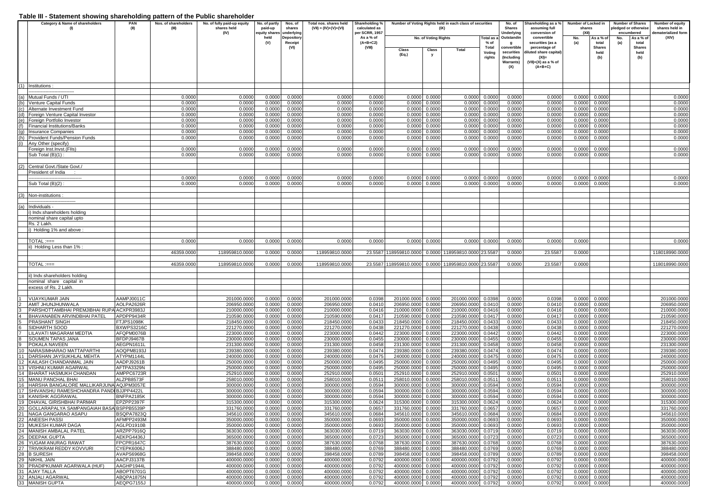|     | . asio in etatomont onoming onaronoranig<br>Category & Name of shareholders | <b>PAN</b>        | Nos. of shareholders | panon n on nno r aphio onaronorao<br>No. of fully paid-up equity | No. of partly    | Nos. of          | Total nos, shares held | Shareholding %   |                        |                      | Number of Voting Rights held in each class of securities |            | No. of                   | Shareholding as a %                | Number of Locked in |                   |     | <b>Number of Shares</b> | <b>Number of equity</b> |
|-----|-----------------------------------------------------------------------------|-------------------|----------------------|------------------------------------------------------------------|------------------|------------------|------------------------|------------------|------------------------|----------------------|----------------------------------------------------------|------------|--------------------------|------------------------------------|---------------------|-------------------|-----|-------------------------|-------------------------|
|     | (1)                                                                         | (II)              | (III)                | shares held                                                      | paid-up          | shares           | (VII) = (IV)+(V)+(VI)  | calculated as    |                        |                      | (IX)                                                     |            | <b>Shares</b>            | assuming full                      | shares              |                   |     | bledged or otherwise    | shares held in          |
|     |                                                                             |                   |                      | (IV)                                                             | quity share:     | underlying       |                        | er SCRR, 1957    |                        |                      |                                                          |            | Underlying               | conversion of                      |                     |                   |     | encumbered              | ematerialized form      |
|     |                                                                             |                   |                      |                                                                  | held             | Depositor        |                        | As a % of        |                        | No. of Voting Rights |                                                          | Total as a | Outstandin               | convertible                        | No.                 | As a % of         | No. | As a % of               | (XIV)                   |
|     |                                                                             |                   |                      |                                                                  | (V)              | Receipt          |                        | $(A+B+C2)$       |                        |                      |                                                          | % of       | g                        | securities (as a                   | (a)                 | total             |     | total                   |                         |
|     |                                                                             |                   |                      |                                                                  |                  | (VI)             |                        | (VIII)           | Class                  | Class                | Total                                                    | Total      | convertible              | percentage of                      |                     | <b>Shares</b>     |     | <b>Shares</b>           |                         |
|     |                                                                             |                   |                      |                                                                  |                  |                  |                        |                  | (Eq.)                  | y                    |                                                          | Votina     | securities<br>(Including | liluted share capital)<br>$(XI) =$ |                     | held<br>(b)       |     | held<br>(b)             |                         |
|     |                                                                             |                   |                      |                                                                  |                  |                  |                        |                  |                        |                      |                                                          | rights     | <b>Warrants)</b>         | $(VII)+(X)$ as a % of              |                     |                   |     |                         |                         |
|     |                                                                             |                   |                      |                                                                  |                  |                  |                        |                  |                        |                      |                                                          |            | (X)                      | $(A+B+C)$                          |                     |                   |     |                         |                         |
|     |                                                                             |                   |                      |                                                                  |                  |                  |                        |                  |                        |                      |                                                          |            |                          |                                    |                     |                   |     |                         |                         |
|     |                                                                             |                   |                      |                                                                  |                  |                  |                        |                  |                        |                      |                                                          |            |                          |                                    |                     |                   |     |                         |                         |
|     |                                                                             |                   |                      |                                                                  |                  |                  |                        |                  |                        |                      |                                                          |            |                          |                                    |                     |                   |     |                         |                         |
|     | (1) Institutions :                                                          |                   |                      |                                                                  |                  |                  |                        |                  |                        |                      |                                                          |            |                          |                                    |                     |                   |     |                         |                         |
|     |                                                                             |                   |                      |                                                                  |                  |                  |                        |                  |                        |                      |                                                          |            |                          |                                    |                     |                   |     |                         |                         |
|     | (a) Mutual Funds / UTI<br>(b) Venture Capital Funds                         |                   | 0.0000<br>0.0000     | 0.0000<br>0.0000                                                 | 0.0000<br>0.0000 | 0.0000<br>0.0000 | 0.0000<br>0.0000       | 0.0000<br>0.0000 | 0.0000<br>0.0000       | 0.0000               | 0.0000<br>0.0000                                         | 0.0000     | 0.0000<br>0.0000         | 0.000C<br>0.0000                   | 0.0000<br>0.0000    | 0.0000<br>0.0000  |     |                         | 0.0000<br>0.0000        |
|     |                                                                             |                   | 0.0000               |                                                                  |                  |                  |                        |                  |                        | 0.0000               |                                                          | 0.0000     |                          | 0.0000                             |                     |                   |     |                         |                         |
|     | (c) Alternate Investment Fund                                               |                   |                      | 0.0000                                                           | 0.0000           | 0.000C           | 0.0000                 | 0.0000           | 0.0000                 | 0.0000               | 0.0000                                                   | 0.0000     | 0.0000                   |                                    | 0.0000              | 0.0000            |     |                         | 0.0000                  |
|     | (d) Foreign Venture Capital Investor                                        |                   | 0.0000<br>0.0000     | 0.0000                                                           | 0.0000           | 0.0000           | 0.0000                 | 0.0000           | 0.0000                 | 0.0000               | 0.0000                                                   | 0.0000     | 0.0000                   | 0.000C                             | 0.0000              | 0.0000            |     |                         | 0.0000                  |
|     | (e) Foreign Portfolio Investor                                              |                   |                      | 0.0000                                                           | 0.0000           | 0.0000           | 0.0000                 | 0.0000           | 0.0000                 | 0.000C               | 0.000                                                    | 0.0000     | 0.0000                   | 0.000C                             | 0.0000              | 0.0000            |     |                         | 0.0000                  |
|     | (f) Financial Institutions/Banks                                            |                   | 0.0000               | 0.0000                                                           | 0.0000           | 0.0000           | 0.0000                 | 0.0000           | 0.0000                 | 0.0000               | 0.000                                                    | 0.0000     | 0.0000                   | 0.000C                             | 0.0000              | 0.0000            |     |                         | 0.0000                  |
|     | (g) Insurance Companies                                                     |                   | 0.0000               | 0.0000                                                           | 0.0000           | 0.0000           | 0.0000                 | 0.0000           | 0.0000                 | 0.0000               | 0.0000                                                   | 0.0000     | 0.0000                   | 0.000C                             | 0.0000              | 0.0000            |     |                         | 0.0000                  |
|     | (h) Provident Funds/Pension Funds                                           |                   | 0.0000               | 0.0000                                                           | 0.0000           | 0.0000           | 0.0000                 | 0.0000           | 0.0000                 | 0.000C               | 0.0000                                                   | 0.0000     | 0.0000                   | 0.000C                             | 0.0000              | 0.0000            |     |                         | 0.0000                  |
|     | Any Other (specify)                                                         |                   |                      |                                                                  |                  |                  |                        |                  |                        |                      |                                                          |            |                          |                                    |                     |                   |     |                         |                         |
|     | Foreign Inst.Invst.(FIIs)                                                   |                   | 0.0000               | 0.0000                                                           | 0.0000           | 0.0000           | 0.0000                 | 0.0000           | 0.0000                 | 0.000C               | 0.0000                                                   | 0.0000     | 0.0000                   | 0.000C                             | 0.0000              | 0.0000            |     |                         | 0.0000                  |
|     | Sub Total (B)(1):                                                           |                   | 0.0000               | 0.0000                                                           | 0.0000           | 0.0000           | 0.0000                 | 0.0000           | 0.0000                 | 0.0000               | 0.0000                                                   | 0.0000     | 0.0000                   | 0.0000                             | 0.0000              | 0.0000            |     |                         | 0.0000                  |
|     |                                                                             |                   |                      |                                                                  |                  |                  |                        |                  |                        |                      |                                                          |            |                          |                                    |                     |                   |     |                         |                         |
|     | (2) Central Govt./State Govt.,                                              |                   |                      |                                                                  |                  |                  |                        |                  |                        |                      |                                                          |            |                          |                                    |                     |                   |     |                         |                         |
|     | President of India                                                          |                   |                      |                                                                  |                  |                  |                        |                  |                        |                      |                                                          |            |                          |                                    |                     |                   |     |                         |                         |
|     |                                                                             |                   | 0.0000               | 0.0000                                                           | 0.0000           | 0.0000           | 0.000                  | 0.0000           | 0.0000                 | 0.0000               | 0.0000                                                   | 0.0000     | 0.0000                   | 0.0000                             | 0.0000              | 0.0000            |     |                         | 0.0000                  |
|     | Sub Total (B)(2):                                                           |                   | 0.0000               | 0.0000                                                           | 0.0000           | 0.0000           | 0.0000                 | 0.0000           | 0.0000                 | 0.0000               | 0.0000                                                   | 0.0000     | 0.0000                   | 0.000C                             | 0.0000              | 0.0000            |     |                         | 0.0000                  |
|     |                                                                             |                   |                      |                                                                  |                  |                  |                        |                  |                        |                      |                                                          |            |                          |                                    |                     |                   |     |                         |                         |
|     | (3) Non-institutions :                                                      |                   |                      |                                                                  |                  |                  |                        |                  |                        |                      |                                                          |            |                          |                                    |                     |                   |     |                         |                         |
|     |                                                                             |                   |                      |                                                                  |                  |                  |                        |                  |                        |                      |                                                          |            |                          |                                    |                     |                   |     |                         |                         |
| (a) | Individuals -                                                               |                   |                      |                                                                  |                  |                  |                        |                  |                        |                      |                                                          |            |                          |                                    |                     |                   |     |                         |                         |
|     | i) Indv.shareholders holding                                                |                   |                      |                                                                  |                  |                  |                        |                  |                        |                      |                                                          |            |                          |                                    |                     |                   |     |                         |                         |
|     | nominal share capital upto                                                  |                   |                      |                                                                  |                  |                  |                        |                  |                        |                      |                                                          |            |                          |                                    |                     |                   |     |                         |                         |
|     | Rs. 2 Lakh.                                                                 |                   |                      |                                                                  |                  |                  |                        |                  |                        |                      |                                                          |            |                          |                                    |                     |                   |     |                         |                         |
|     | i) Holding 1% and above :                                                   |                   |                      |                                                                  |                  |                  |                        |                  |                        |                      |                                                          |            |                          |                                    |                     |                   |     |                         |                         |
|     |                                                                             |                   |                      |                                                                  |                  |                  |                        |                  |                        |                      |                                                          |            |                          |                                    |                     |                   |     |                         |                         |
|     | TOTAL :===                                                                  |                   | 0.0000               | 0.0000                                                           | 0.0000           | 0.0000           | 0.0000                 | 0.0000           | 0.0000                 | 0.0000               | 0.0000                                                   | 0.0000     | 0.0000                   | 0.0000                             | 0.0000              |                   |     |                         | 0.0000                  |
|     | ii) Holding Less than 1%                                                    |                   |                      |                                                                  |                  |                  |                        |                  |                        |                      |                                                          |            |                          |                                    |                     |                   |     |                         |                         |
|     |                                                                             |                   | 46359.0000           | 118959810.0000                                                   | 0.0000           | 0.0000           | 118959810.0000         |                  | 23.5587 118959810.0000 |                      | 0.0000 118959810.0000                                    | 23.5587    | 0.0000                   | 23.5587                            | 0.0000              |                   |     |                         | 118018990.0000          |
|     |                                                                             |                   |                      |                                                                  |                  |                  |                        |                  |                        |                      |                                                          |            |                          |                                    |                     |                   |     |                         |                         |
|     | $TOTAL := ==$                                                               |                   | 46359.0000           | 118959810.0000                                                   | 0.0000           | 0.0000           | 118959810.0000         |                  | 23.5587 118959810.0000 |                      | 0.0000 118959810.0000                                    | 23.5587    | 0.0000                   | 23.5587                            | 0.0000              |                   |     |                         | 118018990.0000          |
|     |                                                                             |                   |                      |                                                                  |                  |                  |                        |                  |                        |                      |                                                          |            |                          |                                    |                     |                   |     |                         |                         |
|     | ii) Indv.shareholders holding                                               |                   |                      |                                                                  |                  |                  |                        |                  |                        |                      |                                                          |            |                          |                                    |                     |                   |     |                         |                         |
|     | nominal share capital in                                                    |                   |                      |                                                                  |                  |                  |                        |                  |                        |                      |                                                          |            |                          |                                    |                     |                   |     |                         |                         |
|     | excess of Rs. 2 Lakh.                                                       |                   |                      |                                                                  |                  |                  |                        |                  |                        |                      |                                                          |            |                          |                                    |                     |                   |     |                         |                         |
|     |                                                                             |                   |                      |                                                                  |                  |                  |                        |                  |                        |                      |                                                          |            |                          |                                    |                     |                   |     |                         |                         |
|     | <b>VIJAYKUMAR JAIN</b>                                                      | AAMPJ0011C        |                      | 201000.0000                                                      | 0.0000           | 0.0000           | 201000.0000            | 0.0398           | 201000.0000            | 0.0000               | 201000.0000                                              | 0.0398     | 0.0000                   | 0.0398                             | 0.0000              | 0.0000            |     |                         | 201000.0000             |
|     | AMIT JHUNJHUNWALA                                                           | AOLPA2626R        |                      | 206950.000                                                       | 0.0000           | 0.0000           | 206950.0000            | 0.041            | 206950.0000            | 0.0000               | 206950.0000                                              | 0.0410     | 0.0000                   | 0.0410                             | 0.0000              | 0.0000            |     |                         | 206950.0000             |
|     | PARSHOTTAMBHAI PREMJIBHAI RUPA ACXPR3983J                                   |                   |                      | 210000.000                                                       | 0.0000           | 0.0000           | 210000.0000            | 0.041            | 210000.0000            | 0.0000               | 210000.0000                                              | 0.0416     | 0.0000                   | 0.0416                             | 0.0000              | 0.0000            |     |                         | 210000.0000             |
|     | BHAVANABEN ARVINDBHAI PATEL                                                 | APDPP9434R        |                      | 210590.000                                                       | 0.0000           | 0.0000           | 210590.000             | 0.0417           | 210590.0000            | 0.0000               | 210590.000                                               | 0.0417     | 0.0000                   | 0.0417                             | 0.0000              | 0.0000            |     |                         | 210590.0000             |
|     | <b>PRASHANT SINGH</b>                                                       | FTJPS1098K        |                      | 218450.000                                                       | 0.0000           | 0.0000           | 218450.000             | 0.043            | 218450.0000            | 0.0000               | 218450.000                                               | 0.0433     | 0.0000                   | 0.0433                             | 0.0000              | 0.000C            |     |                         | 218450.0000             |
|     | SIDHARTH SOOD                                                               | BXWPS3216C        |                      | 221270.000                                                       | 0.0000           | 0.0000           | 221270.000             | 0.0438           | 221270.0000            | 0.0000               | 221270.000                                               | 0.0438     | 0.0000                   | 0.0438                             | 0.0000              | 0.0000            |     |                         | 221270.0000             |
|     | LILAVATI MAGARAM MEDTIA                                                     | AFQPM0076B        |                      | 223000.0000                                                      | 0.0000           | 0.000C           | 223000.0000            | 0.0442           | 223000.0000            | 0.000                | 223000.0000                                              | 0.0442     | 0.0000                   | 0.0442                             | 0.0000              | 0.0000            |     |                         | 223000.0000             |
|     | <b>SOUMEN TAPAS JANA</b>                                                    | BFDPJ9467B        |                      | 230000.0000                                                      | 0.0000           | 0.0000           | 230000.0000            | 0.0455           | 230000.0000            | 0.000C               | 230000.0000                                              | 0.0455     | 0.0000                   | 0.0455                             | 0.0000              | 0.0000            |     |                         | 230000.0000             |
|     | POKALA NAVEEN                                                               | AEGPN1611L        |                      | 231300.000                                                       | 0.0000           | 0.0000           | 231300.0000            | 0.0458           | 231300.0000            | 0.0000               | 231300.000                                               | 0.0458     | 0.0000                   | 0.0458                             | 0.0000              | 0.0000            |     |                         | 231300.0000             |
|     | 10 NARASIMHARAO MATTAPARTHI                                                 | AOQPM8193J        |                      | 239380.000                                                       | 0.0000           | 0.0000           | 239380.0000            | 0.0474           | 239380.0000            | 0.000                | 239380.000                                               | 0.0474     | 0.0000                   | 0.0474                             | 0.0000              | 0.000C            |     |                         | 239380.0000             |
|     | 11   DARSHAN JAYSUKHLAL MEHTA                                               | ATYPM1144L        |                      | 240000.0000                                                      | 0.0000           | 0.0000           | 240000.0000            | 0.0475           | 240000.0000            | 0.0000               | 240000.000                                               | 0.0475     | 0.0000                   | 0.047                              | 0.0000              | 0.0000            |     |                         | 240000.0000             |
|     | 12 KAILASH CHANDANMAL JAIN                                                  | AADPJ9261B        |                      | 250000.000                                                       | 0.0000           | 0.0000           | 250000.000             | 0.0495           | 250000.0000            | 0.000C               | 250000.000                                               | 0.0495     | 0.0000                   | 0.0495                             | 0.0000              | 0.0000            |     |                         | 250000.0000             |
|     | 13 VISHNU KUMAR AGARWAL                                                     | AFTPA3329N        |                      | 250000.000                                                       | 0.000            | 0.0000           | 250000.000             | 0.0495           | 250000.0000            | 0.0000               | 250000.000                                               | 0.0495     | 0.0000                   | 0.0495                             | 0.0000              | 0.0000            |     |                         | 250000.0000             |
|     | 14 BHARAT HASMUKH CHANDAN                                                   | AMPPC6723R        |                      | 252910.0000                                                      | 0.0000           | 0.000C           | 252910.0000            | 0.0501           | 252910.0000            | 0.000                | 252910.0000                                              | 0.0501     | 0.0000                   | 0.050                              | 0.0000              | 0.0000            |     |                         | 252910.0000             |
|     | 15 MANU PANCHAL BHAI                                                        | ALZPB8573F        |                      | 258010.0000                                                      | 0.0000           | 0.0000           | 258010.0000            | 0.051            | 258010.0000            | 0.000C               | 258010.0000                                              | 0.0511     | 0.0000                   | 0.051'                             | 0.0000              | 0.0000            |     |                         | 258010.0000             |
|     | 16 HARSHA BANGALORE MALLIKARJUNA AQJPM3057E                                 |                   |                      | 300000.000                                                       | 0.000            | 0.000C           | 300000.000             | 0.0594           | 300000.0000            | 0.0000               | 300000.000                                               | 0.0594     | 0.0000                   | 0.0594                             | 0.0000              | 0.0000            |     |                         | 300000.0000             |
|     | 17 SHIVANSHU RAMESHCHANDRA PANDI BJJPP4422L                                 |                   |                      | 300000.0000                                                      | 0.0000           | 0.000C           | 300000.0000            | 0.0594           | 300000.0000            | 0.0000               | 300000.0000                                              | 0.0594     | 0.0000                   | 0.0594                             | 0.0000              | 0.0000            |     |                         | 300000.0000             |
|     | 18 KANISHK AGGRAWAL                                                         | BNFPA2185K        |                      | 300000.0000                                                      |                  | 0.0000 0.0000    | 300000.0000            | 0.0594           | 300000.0000 0.0000     |                      | 300000.0000 0.0594                                       |            | 0.0000                   | 0.0594                             |                     | 0.0000 0.0000     |     |                         | 300000.0000             |
|     | 19 DHAVAL GIRISHBHAI PARMAR                                                 | EPZPP2397F        |                      | 315300.0000                                                      | 0.0000           | 0.0000           | 315300.0000            | 0.0624           | 315300.0000 0.0000     |                      | 315300.0000 0.0624                                       |            | 0.0000                   | 0.0624                             |                     | $0.0000$ $0.0000$ |     |                         | 315300.0000             |
|     | 20 GOLLARAPALYA SAMPANGAIAH BASA BSPPB5539P                                 |                   |                      | 331760.0000                                                      | 0.0000           | 0.0000           | 331760.0000            | 0.0657           | 331760.0000            | 0.0000               | 331760.0000                                              | 0.0657     | 0.0000                   | 0.0657                             | 0.0000              | 0.0000            |     |                         | 331760.0000             |
|     | 21 NAGA GANGARAO ASAPU                                                      | <b>BSQPA7823Q</b> |                      | 345610.0000                                                      | 0.0000           | 0.0000           | 345610.0000            | 0.0684           | 345610.0000            | 0.0000               | 345610.0000                                              | 0.0684     | 0.0000                   | 0.0684                             | 0.0000              | 0.0000            |     |                         | 345610.0000             |
|     | 22 ANEESH PASSI                                                             | AFMPP2493M        |                      | 350000.0000                                                      | 0.0000           | 0.0000           | 350000.0000            | 0.0693           | 350000.0000            | 0.0000               | 350000.0000                                              | 0.0693     | 0.0000                   | 0.0693                             | 0.0000              | 0.0000            |     |                         | 350000.0000             |
|     | 23 MUKESH KUMAR DAGA                                                        | AGLPD1910B        |                      | 350000.0000                                                      | 0.0000           | 0.0000           | 350000.0000            | 0.0693           | 350000.0000            | 0.0000               | 350000.0000                                              | 0.0693     | 0.0000                   | 0.0693                             | 0.0000              | 0.0000            |     |                         | 350000.0000             |
|     | 24 MANISH AMBALAL PATEL                                                     | ARZPP7916Q        |                      | 363030,0000                                                      | 0.0000           | 0.0000           | 363030.000             | 0.0719           | 363030.0000            | 0.0000               | 363030.000                                               | 0.0719     | 0.0000                   | 0.0719                             | 0.0000              | 0.0000            |     |                         | 363030.0000             |
|     | 25 DEEPAK GUPTA                                                             | AEKPG4436J        |                      | 365000.0000                                                      | 0.0000           | 0.0000           | 365000.0000            | 0.0723           | 365000.0000            | 0.0000               | 365000.0000                                              | 0.0723     | 0.0000                   | 0.0723                             | 0.0000              | 0.0000            |     |                         | 365000.0000             |
|     | 26 YUGAM ANURAG RAWAT                                                       | FPCPR1647C        |                      | 387630.0000                                                      | 0.0000           | 0.0000           | 387630.0000            | 0.0768           | 387630.0000            | 0.0000               | 387630.0000                                              | 0.0768     | 0.0000                   | 0.0768                             | 0.0000              | 0.0000            |     |                         | 387630.0000             |
|     | 27 TRIVIKRAM REDDY KOVVURI                                                  | CYEPK6006J        |                      | 388480.000                                                       | 0.000            | 0.0000           | 388480.000             | 0.0769           | 388480,0000            | 0.0000               | 388480.000                                               | 0.0769     | 0.0000                   | 0.0769                             | 0.0000              | 0.0000            |     |                         | 388480.0000             |
|     | 28 B SURESH                                                                 | AVAPS6968G        |                      | 398458.0000                                                      | 0.000            | 0.0000           | 398458.0000            | 0.0789           | 398458.0000            | 0.0000               | 398458.0000                                              | 0.0789     | 0.0000                   | 0.0789                             | 0.0000              | 0.0000            |     |                         | 398458.0000             |
|     | 29 NIKHIL JAIN                                                              | AACPJ3137B        |                      | 400000.0000                                                      | 0.0000           | 0.0000           | 400000.0000            | 0.0792           | 400000.0000            | 0.0000               | 400000.0000                                              | 0.0792     | 0.0000                   | 0.0792                             | 0.0000              | 0.0000            |     |                         | 400000.0000             |
|     | 30 PRADIPKUMAR AGARWALA (HUF)                                               | AAGHP1944L        |                      | 400000.0000                                                      | 0.0000           | 0.0000           | 400000.0000            | 0.0792           | 400000.0000            | 0.0000               | 400000.0000                                              | 0.0792     | 0.0000                   | 0.0792                             | 0.0000              | 0.0000            |     |                         | 400000.0000             |
|     | 31 AJAY TALLA                                                               | ABOPT6701G        |                      | 400000.0000                                                      | 0.0000           | 0.0000           | 400000.000             | 0.079            | 400000.0000            | 0.0000               | 400000.0000                                              | 0.0792     | 0.0000                   | 0.079                              | 0.0000              | 0.0000            |     |                         | 400000.0000             |
|     | 32 ANJALI AGARWAL                                                           | ABQPA1875N        |                      | 400000.0000                                                      | 0.0000           | 0.0000           | 400000.0000            | 0.0792           | 400000.0000            | 0.0000               | 400000.0000                                              | 0.0792     | 0.0000                   | 0.0792                             | 0.0000              | 0.0000            |     |                         | 400000.0000             |
|     | 33 MANISH GUPTA                                                             | AEQPG7155J        |                      | 400000.0000                                                      | 0.0000           | 0.0000           | 400000.0000            | 0.0792           | 400000.0000            | 0.0000               | 400000.0000 0.0792                                       |            | 0.0000                   | 0.0792                             | 0.0000              | 0.0000            |     |                         | 400000.0000             |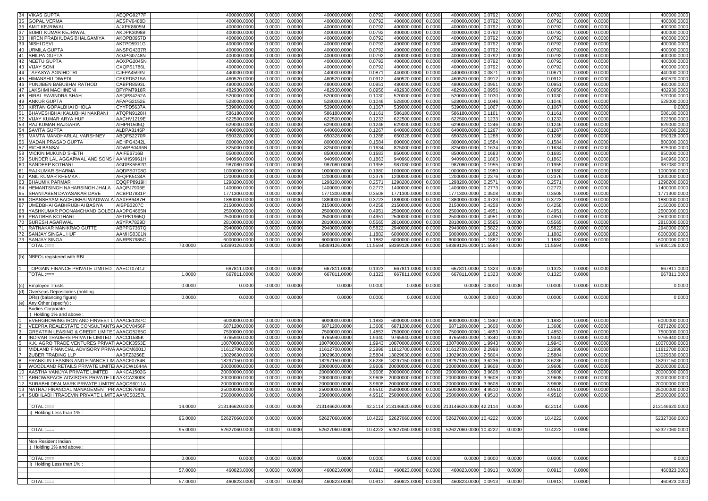| <b>VIKAS GUPTA</b><br><b>GOPAL VERMA</b>             | AEQPG9277F |         |                |               |        |                |         |                    |               |                                                              |               |        |         |        |               |                |
|------------------------------------------------------|------------|---------|----------------|---------------|--------|----------------|---------|--------------------|---------------|--------------------------------------------------------------|---------------|--------|---------|--------|---------------|----------------|
|                                                      |            |         | 400000.0000    | 0.0000        | 0.0000 | 400000.0000    | 0.0792  | 400000.0000 0.0000 |               | 400000.0000                                                  | 0.0792        | 0.0000 | 0.0792  | 0.0000 | 0.0000        | 400000.0000    |
|                                                      | AESPV6488D |         | 400000.0000    | 0.0000        | 0.0000 | 400000.0000    | 0.0792  | 400000.0000        | 0.0000        | 400000.0000                                                  | 0.0792        | 0.0000 | 0.0792  | 0.0000 | 0.0000        | 400000.0000    |
| <b>AMIT KEJRIWAL</b>                                 | AJXPK8605M |         | 400000.0000    | 0.0000        | 0.0000 | 400000.000     | 0.0792  | 400000.0000        | 0.0000        | 400000.0000                                                  | 0.0792        | 0.0000 | 0.079   | 0.0000 | 0.0000        | 400000.0000    |
| SUMIT KUMAR KEJRIWAL                                 | AKDPK3098B |         | 400000.000     | 0.000         | 0.0000 | 400000.000     | 0.079   | 400000.000         | 0.0000        | 400000.000                                                   | 0.0792        | 0.0000 | 0.079   | 0.000  | 0.0000        | 400000.0000    |
| 38<br>HIREN PRABHUDAS BHALGAMIYA                     | AKOPB8957D |         | 400000.0000    | 0.000         | 0.0000 | 400000.000     | 0.0792  | 400000.0000        | 0.0000        | 400000.0000                                                  | 0.0792        | 0.0000 | 0.0792  | 0.0000 | 0.0000        | 400000.0000    |
|                                                      |            |         |                |               |        |                |         |                    |               |                                                              |               |        |         |        |               |                |
| 39<br>NISHI DEVI                                     | AKTPD5911G |         | 400000.0000    | 0.0000        | 0.0000 | 400000.0000    | 0.0792  | 400000.0000        | 0.0000        | 400000.0000                                                  | 0.0792        | 0.0000 | 0.0792  | 0.0000 | 0.0000        | 400000.0000    |
| <b>URMILA GUPTA</b><br>40                            | ANSPG4337R |         | 400000.000     | 0.000         | 0.0000 | 400000.000     | 0.079   | 400000.000         | 0.0000        | 400000.000                                                   | 0.079         | 0.0000 | 0.0792  | 0.000  | 0.0000        | 400000.000     |
| 41<br>SHILPA GUPTA                                   | AOJPG0748N |         | 400000.000     | 0.000         | 0.0000 | 400000.000     | 0.079   | 400000.000         | 0.0000        | 400000.000                                                   | 0.079         | 0.0000 | 0.0792  | 0.000  | 0.0000        | 400000.000     |
|                                                      |            |         |                |               |        |                |         |                    |               |                                                              |               |        |         |        |               |                |
| 42<br><b>NEETU GUPTA</b>                             | AOXPG2045N |         | 400000.0000    | 0.000         | 0.0000 | 400000.0000    | 0.0792  | 400000.0000        | 0.0000        | 400000.0000                                                  | 0.0792        | 0.0000 | 0.0792  | 0.0000 | 0.0000        | 400000.000     |
| 43<br><b>VIJAY SONI</b>                              | CXQPS1786L |         | 400000.000     | 0.000         | 0.0000 | 400000.000     | 0.079   | 400000.0000        | 0.0000        | 400000.0000                                                  | 0.0792        | 0.0000 | 0.079   | 0.000  | 0.0000        | 400000.0000    |
| 44<br><b>TAPASYA AGNIHOTRI</b>                       | CJFPA4593N |         | 440000.0000    | 0.000         | 0.0000 | 440000.0000    | 0.087'  | 440000.0000        | 0.0000        | 440000.0000                                                  | 0.0871        | 0.0000 | 0.087   | 0.0000 | 0.0000        | 440000.0000    |
|                                                      |            |         |                |               |        |                |         |                    |               |                                                              |               |        |         |        |               |                |
| 45<br><b>HIMANSHU DIWEDI</b>                         | CEKPD5215A |         | 460520.0000    | 0.000         | 0.0000 | 460520.000     | 0.091   | 460520.000         | 0.0000        | 460520.0000                                                  | 0.0912        | 0.0000 | 0.0912  | 0.0000 | 0.0000        | 460520.000     |
| 46<br>PUNJIBEN BABUBHAI RATHOD                       | CABPR8593L |         | 480000.0000    | 0.000         | 0.0000 | 480000.0000    | 0.095   | 480000.0000        | 0.0000        | 480000.0000                                                  | 0.0951        | 0.0000 | 0.0951  | 0.0000 | 0.0000        | 480000.0000    |
| 47 LAKSHMI MACHINENI                                 | BFYPM7916R |         | 482930.000     | 0.000         | 0.0000 | 482930.000     | 0.0956  | 482930.0000        | 0.0000        | 482930.0000                                                  | 0.0956        | 0.0000 | 0.0956  | 0.000  | 0.0000        | 482930.000     |
|                                                      |            |         |                |               |        |                |         |                    |               |                                                              |               |        |         |        |               |                |
| 48<br>HIRAL RAVINDRA SHAH                            | ASQPS4252A |         | 520000.0000    | 0.000         | 0.0000 | 520000.000     | 0.103   | 520000.0000        | 0.0000        | 520000.0000                                                  | 0.1030        | 0.0000 | 0.103   | 0.0000 | 0.0000        | 520000.000     |
| 49<br><b>ANKUR GUPTA</b>                             | AFAPG2152E |         | 528000.000     | 0.000         | 0.0000 | 528000.000     | 0.1046  | 528000.000         | 0.0000        | 528000.000                                                   | 0.1046        | 0.0000 | 0.1046  | 0.000  | 0.0000        | 528000.000     |
| 50<br>KIRTAN GOPALBHAI DHOLA                         | CYYPD5637A |         | 539000.000     | 0.000         | 0.0000 | 539000.000     | 0.1067  | 539000.0000        | 0.0000        | 539000.000                                                   | 0.1067        | 0.0000 | 0.106   | 0.000  | 0.0000        | 0.000          |
|                                                      |            |         |                |               |        |                |         |                    |               |                                                              |               |        |         |        |               |                |
| BHAVESHBHAI KALUBHAI NAKRANI                         | ATQPN9128H |         | 586180.000     | 0.000         | 0.0000 | 586180.000     | 0.116'  | 586180,000         | 0.0000        | 586180.000                                                   | 0.1161        | 0.0000 | 0.116   | 0.000  | 0.0000        | 586180.000     |
| 52<br><b>VIJAY KUMAR ARYA HUF</b>                    | AACHV1219E |         | 622500.0000    | 0.000         | 0.0000 | 622500.000     | 0.1233  | 622500.0000        | 0.0000        | 622500.0000                                                  | 0.1233        | 0.0000 | 0.1233  | 0.0000 | 0.0000        | 622500.0000    |
| 53<br>RAJ KUMAR RAJGARIA                             |            |         |                |               |        |                |         |                    |               |                                                              |               |        |         |        |               |                |
|                                                      | AIHPR1505Q |         | 629000.0000    | 0.000         | 0.0000 | 629000.0000    | 0.1246  | 629000.0000        | 0.0000        | 629000.0000                                                  | 0.1246        | 0.0000 | 0.1246  | 0.0000 | 0.0000        | 629000.000     |
| 54<br><b>SAVITA GUPTA</b>                            | ALDPA8146P |         | 640000.000     | 0.000         | 0.0000 | 640000.000     | 0.1267  | 640000.000         | 0.0000        | 640000.000                                                   | 0.1267        | 0.0000 | 0.126   | 0.000  | 0.0000        | 640000.000     |
| MAMTA MANOHARLAL VARSHNEY                            | ABQFS2270R |         | 650328.000     | 0.000         | 0.0000 | 650328.000     | 0.1288  | 650328.0000        | 0.0000        | 650328.000                                                   | 0.1288        | 0.0000 | 0.128   | 0.000  | 0.0000        | 650328.0000    |
|                                                      |            |         |                |               |        |                |         |                    |               |                                                              |               |        |         |        |               |                |
| <b>MADAN PRASAD GUPTA</b><br>56                      | AEHPG4342L |         | 800000.0000    | 0.000         | 0.0000 | 800000.0000    | 0.1584  | 800000.0000        | 0.0000        | 800000.0000                                                  | 0.1584        | 0.0000 | 0.1584  | 0.0000 | 0.0000        | 800000.000     |
| 57<br><b>RICHI BANSAL</b>                            | ADWPB0496N |         | 825000.000     | 0.000         | 0.0000 | 825000.000     | 0.1634  | 825000.0000        | 0.0000        | 825000.000                                                   | 0.1634        | 0.0000 | 0.1634  | 0.000  | 0.0000        | 825000.000     |
| MICKIN MUKUND SHETH                                  | AAIFE6716B |         | 850000.000     | 0.000         | 0.0000 | 850000.000     | 0.168   | 850000.000         | 0.0000        | 850000.000                                                   | 0.1683        | 0.0000 | 0.168   | 0.000  | 0.0000        | 850000.000     |
|                                                      |            |         |                |               |        |                |         |                    |               |                                                              |               |        |         |        |               |                |
| 59<br>SUNDER LAL AGGARWAL AND SONS HAANHS9961H       |            |         | 940960.0000    | 0.000         | 0.0000 | 940960.000     | 0.1863  | 940960.0000        | 0.0000        | 940960.0000                                                  | 0.1863        | 0.0000 | 0.186   | 0.000  | 0.0000        | 940960.0000    |
| 60<br>SANDEEP KOTHARI                                | AGDPK5582G |         | 987080.0000    | 0.000         | 0.0000 | 987080.0000    | 0.1955  | 987080.0000        | 0.0000        | 987080.0000                                                  | 0.1955        | 0.0000 | 0.1955  | 0.0000 | 0.0000        | 987080.000     |
| 61<br><b>RAJKUMAR SHARMA</b>                         | AQDPS0708G |         | 1000000.000    | 0.000         | 0.0000 | 1000000.000    | 0.1980  | 1000000.0000       | 0.0000        | 1000000.000                                                  | 0.1980        | 0.0000 | 0.1980  | 0.000  | 0.0000        | 1000000.0000   |
|                                                      |            |         |                |               |        |                |         |                    |               |                                                              |               |        |         |        |               |                |
| ANIL KUMAR KHEMKA                                    | AFQPK5134A |         | 1200000.000    | 0.000         | 0.0000 | 1200000.000    | 0.237   | 1200000.000        | 0.000         | 1200000.000                                                  | 0.237         | 0.0000 | 0.237   | 0.000  | 0.0000        | 1200000.000    |
| 63<br><b>BHAUMIK PARMAR</b>                          | EQQPP8919H |         | 1298200.0000   | 0.000         | 0.0000 | 1298200.000    | 0.2571  | 1298200.0000       | 0.0000        | 1298200.0000                                                 | 0.2571        | 0.0000 | 0.2571  | 0.0000 | 0.0000        | 1298200.000    |
| HEMANTSINGH NAHARSINGH JHALA<br>64                   | AAQPJ7906E |         | 1400000.000    | 0.000         | 0.0000 | 1400000.000    | 0.2773  | 1400000.0000       | 0.0000        | 1400000.000                                                  | 0.2773        | 0.0000 | 0.277   | 0.000  | 0.0000        | 1400000.000    |
|                                                      |            |         |                |               |        |                |         |                    |               |                                                              |               |        |         |        |               |                |
| SHANTABEN DAYASAKAR DAVE                             | ACBPD7831P |         | 1771300.000    | 0.000         | 0.0000 | 1771300.000    | 0.3508  | 1771300.000        | 0.0000        | 1771300.000                                                  | 0.3508        | 0.0000 | 0.350   | 0.000  | 0.0000        | 1771300.000    |
| GHANSHYAM BACHUBHAI WADIWALA                         | AAXFB6487H |         | 1880000.0000   | 0.000         | 0.0000 | 1880000.000    | 0.3723  | 1880000.000        | 0.0000        | 1880000.000                                                  | 0.3723        | 0.0000 | 0.3723  | 0.000  | 0.0000        | 1880000.000    |
|                                                      |            |         | 2150000.0000   |               |        |                |         |                    | 0.0000        |                                                              |               | 0.0000 |         | 0.0000 |               | 2150000.0000   |
| UMEDBHAI GABHRUBHAI BASIYA                           | AISPB3207C |         |                | 0.000         | 0.0000 | 2150000.000    | 0.4258  | 2150000.000        |               | 2150000.0000                                                 | 0.4258        |        | 0.4258  |        | 0.0000        |                |
| 68<br>YASHKUMAR POONAMCHAND GOLECI AADPG4665N        |            |         | 2500000.000    | 0.000         | 0.0000 | 2500000.000    | 0.4951  | 2500000.0000       | 0.0000        | 2500000.000                                                  | 0.4951        | 0.0000 | 0.4951  | 0.000  | 0.0000        | 2500000.0000   |
| PRATIBHA KOTHARI                                     | AFTPK1965Q |         | 2500000.000    | 0.000         | 0.0000 | 2500000.000    | 0.4951  | 2500000.0000       | 0.0000        | 2500000.000                                                  | 0.4951        | 0.0000 | 0.4951  | 0.000  | 0.0000        | 2500000.0000   |
|                                                      |            |         |                |               |        |                |         |                    |               |                                                              |               |        |         |        |               |                |
| <b>SURESH AGARWAL</b>                                | ASYPA7829D |         | 2810000.0000   | 0.000         | 0.0000 | 2810000.000    | 0.5565  | 2810000.000        | 0.0000        | 2810000.000                                                  | 0.5565        | 0.0000 | 0.556   | 0.000  | 0.0000        | 2810000.000    |
| RATNAKAR MANIKRAO GUTTE                              | ABPPG7367Q |         | 2940000.0000   | 0.000         | 0.0000 | 2940000.0000   | 0.5822  | 2940000.0000       | 0.0000        | 2940000.000                                                  | 0.5822        | 0.0000 | 0.5822  | 0.000  | 0.0000        | 2940000.0000   |
| SANJAY SINGAL HUF                                    | AAMHS8301N |         | 6000000.000    | 0.000         | 0.0000 | 6000000.000    | 1.1882  | 6000000.000        | 0.0000        | 6000000.000                                                  | 1.1882        | 0.0000 | 1.1882  | 0.000  | 0.0000        | 6000000.0000   |
| 72                                                   |            |         |                |               |        |                |         |                    |               |                                                              |               |        |         |        |               |                |
| <b>SANJAY SINGAL</b>                                 | ANRPS7985C |         | 6000000.0000   | 0.000         | 0.0000 | 6000000.000    | 1.1882  | 6000000.0000       | 0.0000        | 6000000.000                                                  | 1.1882        | 0.0000 | 1.1882  | 0.0000 | 0.0000        | 6000000.0000   |
| $\mathsf{TOTAL} := =$                                |            | 73.000  | 58369126.0000  | 0.000         | 0.0000 | 58369126.000   | 11.5594 | 58369126.0000      | 0.0000        | 58369126.0000 11.5594                                        |               | 0.0000 | 11.5594 | 0.0000 |               | 57830126.0000  |
|                                                      |            |         |                |               |        |                |         |                    |               |                                                              |               |        |         |        |               |                |
| TOPGAIN FINANCE PRIVATE LIMITED AAECT0741J           |            |         | 667811.0000    | 0.0000        | 0.0000 | 667811.0000    | 0.132   | 667811.0000        | 0.0000        | 667811.0000                                                  | 0.1323        | 0.0000 | 0.132   | 0.0000 | 0.0000        | 667811.0000    |
| $TOTAL := =$                                         |            | 1.000   | 667811.0000    | 0.0000        | 0.0000 | 667811.0000    | 0.1323  | 667811.0000        | 0.0000        | 667811.0000                                                  | 0.1323        | 0.0000 | 0.132   | 0.000  |               | 667811.000     |
|                                                      |            |         |                |               |        |                |         |                    |               |                                                              |               |        |         |        |               |                |
|                                                      |            |         |                |               |        |                |         |                    |               |                                                              |               |        |         |        |               |                |
| <b>Employee Trusts</b>                               |            | 0.000   | 0.0000         | 0.0000        | 0.0000 | 0.0000         | 0.0000  | 0.0000             | 0.0000        | 0.0000                                                       | 0.0000        | 0.0000 | 0.0000  | 0.0000 | 0.0000        | 0.0000         |
| Overseas Depositories (holding                       |            |         |                |               |        |                |         |                    |               |                                                              |               |        |         |        |               |                |
| DRs) (balancing figure)                              |            | 0.000   | 0.000          | 0.000         | 0.0000 | 0.0000         | 0.000   | 0.0000             | 0.0000        | 0.000                                                        | 0.0000        | 0.0000 | 0.000   | 0.000  | 0.0000        | 0.0000         |
| Any Other (specify)                                  |            |         |                |               |        |                |         |                    |               |                                                              |               |        |         |        |               |                |
| <b>Bodies Corporate</b>                              |            |         |                |               |        |                |         |                    |               |                                                              |               |        |         |        |               |                |
| i) Holding 1% and above                              |            |         |                |               |        |                |         |                    |               |                                                              |               |        |         |        |               |                |
| EVERGROWING IRON AND FINVEST LTAAACE1287C            |            |         | 6000000.000    | 0.0000        | 0.0000 | 6000000.000    | 1.1882  | 6000000.0000       | 0.0000        | 6000000.0000                                                 | 1.1882        | 0.0000 | 1.1882  | 0.0000 | 0.0000        | 6000000.000    |
|                                                      |            |         | 6871200.0000   | 0.0000        | 0.0000 | 6871200.000    |         | 6871200.0000       | 0.0000        | 6871200.000                                                  |               | 0.0000 |         | 0.0000 | 0.0000        | 6871200.000    |
| VEEPRA REALESTATE CONSULTANTS AADCV8456F             |            |         |                |               |        |                | 1.3608  |                    |               |                                                              | 1.3608        |        | 1.3608  |        |               |                |
| GREATFIN LEASING & CREDIT LIMITED AAACG5265C         |            |         | 7500000.000    | 0.000         | 0.0000 | 7500000.000    | 1.4853  | 7500000.0000       | 0.0000        | 7500000.000                                                  | 1.4853        | 0.0000 | 1.485   | 0.000  | 0.0000        | 7500000.0000   |
| INDIVAR TRADERS PRIVATE LIMITED                      | AACCI1585K |         | 9765940.000    | 0.000         | 0.0000 | 9765940.000    | 1.9340  | 9765940.000        | 0.0000        | 9765940.00                                                   | 1.9340        | 0.0000 | 1.934   | 0.000  | 0.0000        | 9765940.000    |
| K.K. AGRO TRADE VENTURES PRIVAT                      | AADCK3553E |         | 10070000.0000  | 0.000         | 0.0000 | 10070000.000   | 1.9943  | 10070000.000       | 0.0000        | 10070000.000                                                 | 1.9943        | 0.0000 | 1.994   | 0.0000 | 0.0000        | 10070000.000   |
|                                                      |            |         |                |               |        |                |         |                    |               |                                                              |               |        |         |        |               |                |
| MIDLAND FINANCIAL ADVISORY PRIVA AAGCM6001J          |            |         | 11612700.0000  | 0.000         | 0.0000 | 11612700.000   | 2.2998  | 11612700.0000      | 0.0000        | 11612700.000                                                 | 2.2998        | 0.0000 | 2.2998  | 0.0000 | 0.0000        | 11612700.000   |
| <b>ZUBER TRADING LLP</b>                             | AABFZ3256E |         | 13029630.000   | 0.000         | 0.0000 | 13029630.000   | 2.5804  | 13029630.0000      | 0.0000        | 13029630.000                                                 | 2.5804        | 0.0000 | 2.580   | 0.000  | 0.0000        | 13029630.000   |
| FRANKLIN LEASING AND FINANCE LIM AAACF0784B          |            |         | 18297150.0000  | 0.000         | 0.0000 | 18297150.000   | 3.6236  | 18297150.0000      | 0.0000        | 18297150.000                                                 | 3.6236        | 0.0000 | 3.623   | 0.000  | 0.0000        | 18297150.0000  |
|                                                      |            |         | 20000000.0000  |               |        |                |         |                    |               |                                                              |               |        |         |        |               |                |
| WOODLAND RETAILS PRIVATE LIMITE AABCW1644A           |            |         |                | 0.000         | 0.0000 | 20000000.000   | 3.9608  | 20000000.000       | 0.0000        | 20000000.000                                                 | 3.9608        | 0.0000 | 3.960   | 0.0000 | 0.0000        | 20000000.0000  |
| AASTHA VANIJYA PRIVATE LIMITED                       | AAKCA1502G |         | 20000000.000   | 0.000         | 0.0000 | 20000000.000   | 3.960   | 20000000.000       | 0.0000        | 20000000.00                                                  | 3.9608        | 0.0000 | 3.960   | 0.000  | 0.0000        | 20000000.0000  |
| ARROWSPACE ADVISORS PRIVATE LI AAKCA2800K            |            |         | 20000000.000   | 0.000         | 0.0000 | 20000000.000   | 3.960   | 20000000.000       | 0.000         | 20000000.00                                                  | 3.960         | 0.0000 | 3.960   | 0.000  | 0.000         | 20000000.000   |
|                                                      |            |         |                |               |        | 20000000.000   | 3.9608  |                    |               |                                                              | 3.960         |        |         |        |               |                |
| SURABHI DEALMARK PRIVATE LIMITEL AAQCS6011A          |            |         | 20000000.0000  | 0.000         | 0.0000 |                |         | 20000000.0000      | 0.0000        | 20000000.000                                                 |               | 0.0000 | 3.960   | 0.0000 | 0.0000        | 20000000.0000  |
| INA IRAJ FINANCIAL MANAGEMENT PRI AACCN7949J         |            |         | 25000000.0000  | 0.0000 0.0000 |        | 25000000.0000  |         |                    |               | 4.9510  25000000.0000  0.0000  25000000.0000  4.9510  0.0000 |               |        | 4.9510  |        | 0.0000 0.0000 | 25000000.0000  |
|                                                      |            |         | 25000000.0000  | 0.0000        | 0.0000 | 25000000.0000  |         |                    |               | 4.9510 25000000.0000 0.0000 25000000.0000 4.9510             |               | 0.0000 | 4.9510  | 0.0000 | 0.0000        | 25000000.0000  |
|                                                      |            |         |                |               |        |                |         |                    |               |                                                              |               |        |         |        |               |                |
|                                                      |            |         |                |               |        |                |         |                    |               |                                                              |               |        |         |        |               |                |
| $\overline{TOTAL} := =$                              |            | 14.0000 | 213146620.0000 | 0.0000        | 0.0000 | 213146620.0000 |         |                    |               | 42.2114 213146620.0000 0.0000 213146620.0000 42.2114         |               | 0.0000 | 42.2114 | 0.0000 |               | 213146620,0000 |
| ii) Holding Less than 1%:                            |            |         |                |               |        |                |         |                    |               |                                                              |               |        |         |        |               |                |
|                                                      |            |         | 52627060.0000  |               |        | 52627060.0000  | 10.4222 |                    |               |                                                              |               |        |         |        |               |                |
|                                                      |            | 95.0000 |                | 0.0000        | 0.0000 |                |         |                    |               | 52627060.0000 0.0000 52627060.0000 10.4222                   |               | 0.0000 | 10.4222 | 0.0000 |               | 52327060.0000  |
|                                                      |            |         |                |               |        |                |         |                    |               |                                                              |               |        |         |        |               |                |
| $TOTAL := ==$                                        |            | 95.0000 | 52627060.0000  | 0.0000        | 0.0000 | 52627060.0000  | 10.4222 |                    |               | 52627060.0000 0.0000 52627060.0000 10.4222                   |               | 0.0000 | 10.4222 | 0.0000 |               | 52327060.0000  |
|                                                      |            |         |                |               |        |                |         |                    |               |                                                              |               |        |         |        |               |                |
|                                                      |            |         |                |               |        |                |         |                    |               |                                                              |               |        |         |        |               |                |
| Non Resident Indian                                  |            |         |                |               |        |                |         |                    |               |                                                              |               |        |         |        |               |                |
| i) Holding 1% and above:                             |            |         |                |               |        |                |         |                    |               |                                                              |               |        |         |        |               |                |
|                                                      |            |         |                |               |        |                |         |                    |               |                                                              |               |        |         |        |               |                |
|                                                      |            |         |                |               |        |                |         |                    |               |                                                              |               |        |         |        |               |                |
| $TOTAL := ==$                                        |            | 0.0000  | 0.0000         | 0.0000        | 0.0000 | 0.0000         | 0.0000  |                    | 0.0000 0.0000 |                                                              | 0.0000 0.0000 | 0.0000 | 0.0000  | 0.0000 |               | 0.0000         |
| ii) Holding Less than 1%:                            |            |         |                |               |        |                |         |                    |               |                                                              |               |        |         |        |               |                |
|                                                      |            |         |                |               |        |                |         |                    |               |                                                              |               |        |         |        |               |                |
|                                                      |            | 57.0000 | 460823.0000    | 0.0000        | 0.0000 | 460823.0000    | 0.0913  | 460823.0000 0.0000 |               | 460823.0000 0.0913                                           |               | 0.0000 | 0.0913  | 0.0000 |               | 460823.0000    |
| 12<br>14 SUBHLABH TRADEVIN PRIVATE LIMITE AAMCS0257L |            |         |                |               |        |                |         |                    |               |                                                              |               |        |         |        |               |                |
| TOTAL :===                                           |            | 57.0000 | 460823.0000    | 0.0000        | 0.0000 | 460823.0000    | 0.0913  | 460823.0000 0.0000 |               | 460823.0000 0.0913                                           |               | 0.0000 | 0.0913  | 0.0000 |               | 460823,0000    |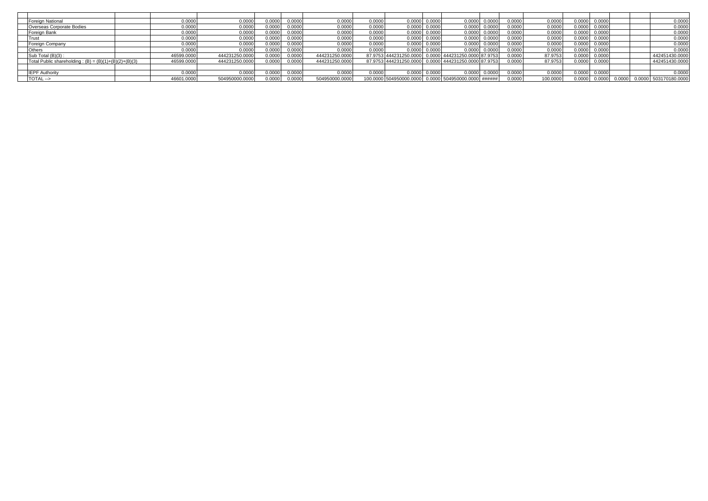| Foreign National                                        | 0.0000     | 0.000(         | 0.0000 | 0.0000 | 0.0000         | 0.0000 | 0.0000                        | 0.000  | 0.0000                                               | 0.0000 | J.000 <sup>r</sup> | 0.0000   | 0.0000 | 0.0000 |        | 0.0000                |
|---------------------------------------------------------|------------|----------------|--------|--------|----------------|--------|-------------------------------|--------|------------------------------------------------------|--------|--------------------|----------|--------|--------|--------|-----------------------|
| Overseas Corporate Bodies                               | 0.000      | 0.000          | 0.0000 | 0.0000 | 0.0000         | 0.0000 | 0.0000                        | 0.000  | 0.0000                                               | 0.0000 | J.000 <sup>r</sup> | 0.000C   | 0.0000 | 0.0000 |        | 0.0000                |
| Foreign Bank                                            | 0.000      | 0.0000         | 0.0000 | 0.0000 | 0.0000         | 0.0000 | 0.0000                        | 0.000  | 0.0000                                               | 0.0000 | 0.000f             | 0.0000   | 0.0000 | 0.0000 |        | 0.0000                |
| Trust                                                   | 0.0000     | 0.000          | 0.0000 | 0.0000 | 0.0000         | 0.0000 | 0.0000                        | 0.000  | 0.0000                                               | 0.0000 | 0.000f             | 0.0000   | 0.0000 | 0.0000 |        | 0.0000                |
| Foreign Company                                         | 0.0000     | 0.000          | 0.0000 | 0.0000 | 0.0000         | 0.0000 | 0.0000                        | 0.000  | 0.0000                                               | 0.0000 | 0.000C             | 0.0000   | 0.0000 | 0.0000 |        | 0.0000                |
| <b>Others</b>                                           | 0.000      | 0.0000         | 0.0000 | 0.0000 | 0.0000         | 0.0000 | 0.0000                        | 0.000f | 0.0000                                               | 0.0000 | 0.0000             | 0.0000   | 0.0000 | 0.0000 |        | 0.0000                |
| Sub Total (B)(3):                                       | 46599.0000 | 444231250.0000 | 0.0000 | 0.0000 | 444231250.0000 |        | 87.9753 444231250.0000        | 0.0000 | 444231250.0000 87.9753                               |        | 0.000 <sup>c</sup> | 87.9753  | 0.0000 | 0.0000 |        | 442451430.0000        |
| Total Public shareholding: $(B) = (B)(1)+(B)(2)+(B)(3)$ | 46599.0000 | 444231250.0000 | 0.0000 | 0.0000 | 444231250.0000 |        | 87.9753 444231250.0000 0.0000 |        | 444231250.0000 87.9753                               |        | 0.000C             | 87.9753  | 0.0000 | 0.0000 |        | 442451430.0000        |
|                                                         |            |                |        |        |                |        |                               |        |                                                      |        |                    |          |        |        |        |                       |
| <b>IEPF Authority</b>                                   | 0.000      | 0.000(         | 0.0000 | 0.000C | 0.0000         | 0.0000 | 0.0000                        | 0.000  | 0.0000                                               | 0.0000 | 0.000 <sup>c</sup> | 0.0000   | 0.0000 | 0.0000 |        | 0.0000                |
| TOTAL -->                                               | 46601.0000 | 504950000.0000 | 0.0000 | 0.0000 | 504950000.0000 |        |                               |        | 100.0000 504950000.0000 0.0000 504950000.0000 ###### |        | 0.0000             | 100.0000 | 0.000( | 0.0000 | 0.0000 | 0.0000 503170180.0000 |
|                                                         |            |                |        |        |                |        |                               |        |                                                      |        |                    |          |        |        |        |                       |